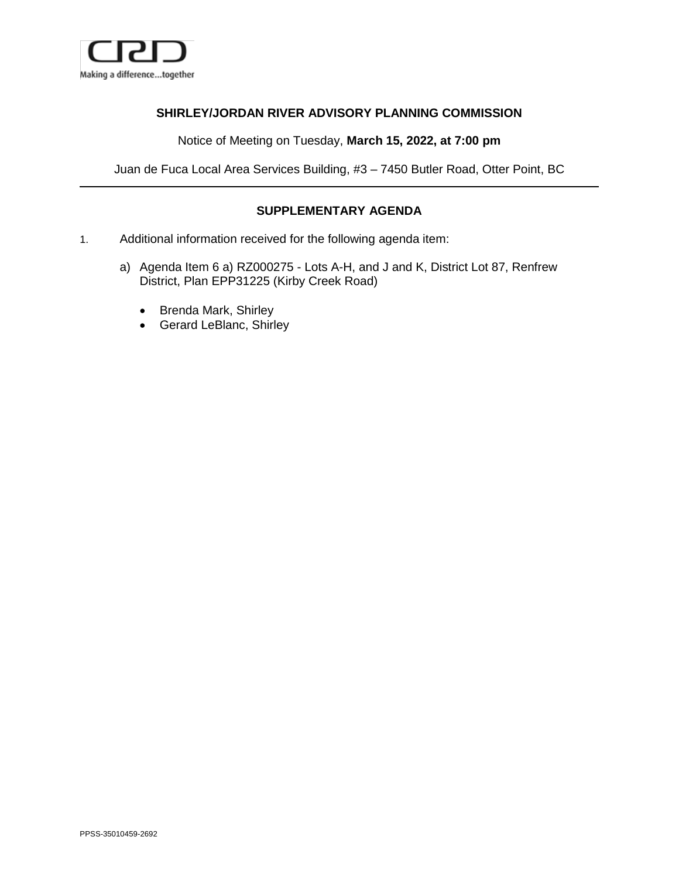

## **SHIRLEY/JORDAN RIVER ADVISORY PLANNING COMMISSION**

Notice of Meeting on Tuesday, **March 15, 2022, at 7:00 pm**

Juan de Fuca Local Area Services Building, #3 – 7450 Butler Road, Otter Point, BC

## **SUPPLEMENTARY AGENDA**

- 1. Additional information received for the following agenda item:
	- a) Agenda Item 6 a) RZ000275 Lots A-H, and J and K, District Lot 87, Renfrew District, Plan EPP31225 (Kirby Creek Road)
		- Brenda Mark, Shirley
		- Gerard LeBlanc, Shirley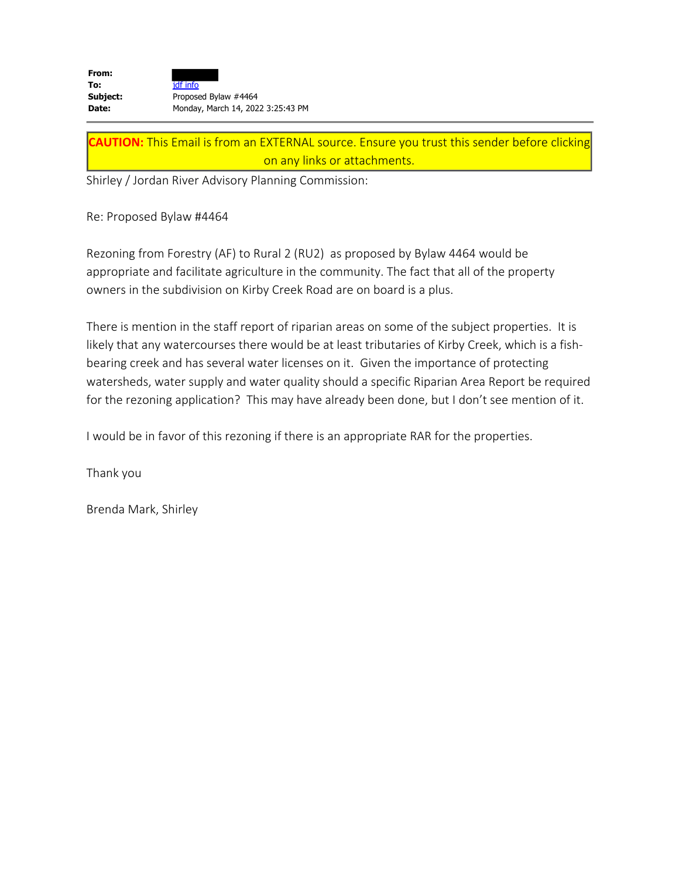| From:    |                                   |
|----------|-----------------------------------|
| To:      | jdf info                          |
| Subject: | Proposed Bylaw #4464              |
| Date:    | Monday, March 14, 2022 3:25:43 PM |

**CAUTION:** This Email is from an EXTERNAL source. Ensure you trust this sender before clicking on any links or attachments.

Shirley / Jordan River Advisory Planning Commission:

Re: Proposed Bylaw #4464

Rezoning from Forestry (AF) to Rural 2 (RU2) as proposed by Bylaw 4464 would be appropriate and facilitate agriculture in the community. The fact that all of the property owners in the subdivision on Kirby Creek Road are on board is a plus.

There is mention in the staff report of riparian areas on some of the subject properties. It is likely that any watercourses there would be at least tributaries of Kirby Creek, which is a fishbearing creek and has several water licenses on it. Given the importance of protecting watersheds, water supply and water quality should a specific Riparian Area Report be required for the rezoning application? This may have already been done, but I don't see mention of it.

I would be in favor of this rezoning if there is an appropriate RAR for the properties.

Thank you

Brenda Mark, Shirley